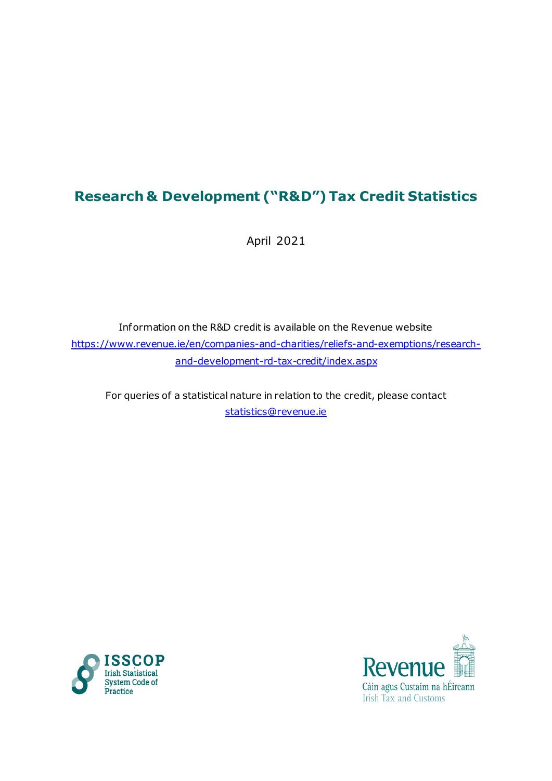# **Research & Development ("R&D") Tax Credit Statistics**

April 2021

Information on the R&D credit is available on the Revenue website [https://www.revenue.ie/en/companies-and-charities/reliefs-and-exemptions/research](https://www.revenue.ie/en/companies-and-charities/reliefs-and-exemptions/research-and-development-rd-tax-credit/index.aspx)[and-development-rd-tax-credit/index.aspx](https://www.revenue.ie/en/companies-and-charities/reliefs-and-exemptions/research-and-development-rd-tax-credit/index.aspx)

For queries of a statistical nature in relation to the credit, please contact [statistics@revenue.ie](mailto:statistics@revenue.ie)



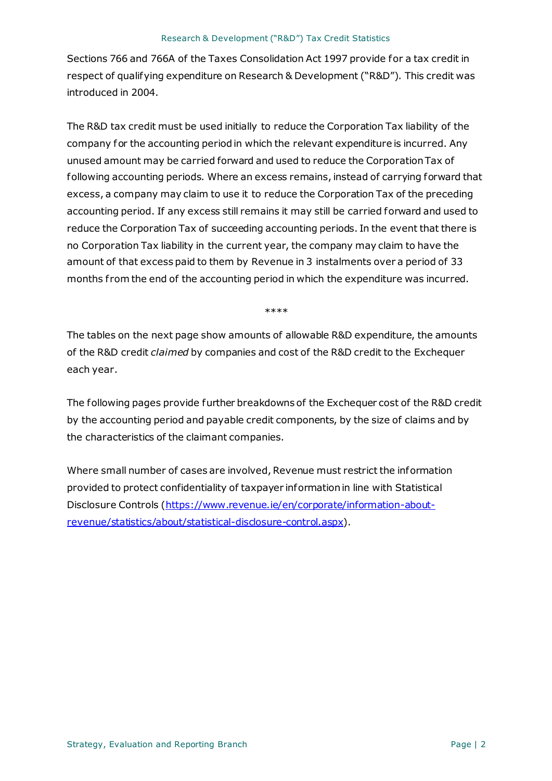Sections 766 and 766A of the Taxes Consolidation Act 1997 provide for a tax credit in respect of qualifying expenditure on Research & Development ("R&D"). This credit was introduced in 2004.

The R&D tax credit must be used initially to reduce the Corporation Tax liability of the company for the accounting period in which the relevant expenditure is incurred. Any unused amount may be carried forward and used to reduce the Corporation Tax of following accounting periods. Where an excess remains, instead of carrying forward that excess, a company may claim to use it to reduce the Corporation Tax of the preceding accounting period. If any excess still remains it may still be carried forward and used to reduce the Corporation Tax of succeeding accounting periods. In the event that there is no Corporation Tax liability in the current year, the company may claim to have the amount of that excess paid to them by Revenue in 3 instalments over a period of 33 months from the end of the accounting period in which the expenditure was incurred.

\*\*\*\*

The tables on the next page show amounts of allowable R&D expenditure, the amounts of the R&D credit *claimed* by companies and cost of the R&D credit to the Exchequer each year.

The following pages provide further breakdowns of the Exchequer cost of the R&D credit by the accounting period and payable credit components, by the size of claims and by the characteristics of the claimant companies.

Where small number of cases are involved, Revenue must restrict the information provided to protect confidentiality of taxpayer information in line with Statistical Disclosure Controls [\(https://www.revenue.ie/en/corporate/information-about](https://www.revenue.ie/en/corporate/information-about-revenue/statistics/about/statistical-disclosure-control.aspx)[revenue/statistics/about/statistical-disclosure-control.aspx](https://www.revenue.ie/en/corporate/information-about-revenue/statistics/about/statistical-disclosure-control.aspx)).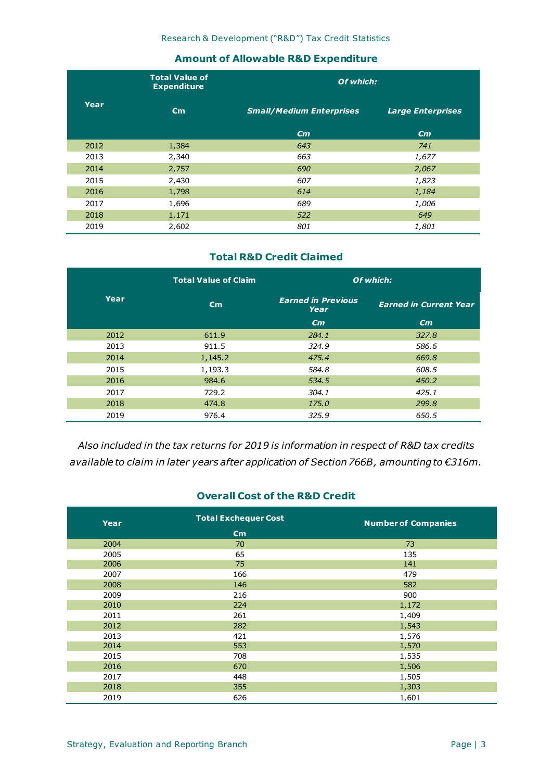#### **Amount of Allowable R&D Expenditure**

|      | <b>Total Value of</b><br><b>Expenditure</b> | Of which:                       |                          |  |  |  |  |  |  |
|------|---------------------------------------------|---------------------------------|--------------------------|--|--|--|--|--|--|
| Year | $\epsilon$ m                                | <b>Small/Medium Enterprises</b> | <b>Large Enterprises</b> |  |  |  |  |  |  |
|      |                                             | $\epsilon$ m                    | $\epsilon$ m             |  |  |  |  |  |  |
| 2012 | 1,384                                       | 643                             | 741                      |  |  |  |  |  |  |
| 2013 | 2,340                                       | 663                             | 1,677                    |  |  |  |  |  |  |
| 2014 | 2,757                                       | 690                             | 2,067                    |  |  |  |  |  |  |
| 2015 | 2,430                                       | 607                             | 1,823                    |  |  |  |  |  |  |
| 2016 | 1,798                                       | 614                             | 1,184                    |  |  |  |  |  |  |
| 2017 | 1,696                                       | 689                             | 1,006                    |  |  |  |  |  |  |
| 2018 | 1,171                                       | 522                             | 649                      |  |  |  |  |  |  |
| 2019 | 2,602                                       | 801                             | 1,801                    |  |  |  |  |  |  |

#### **Total R&D Credit Claimed**

|      | <b>Total Value of Claim</b> | Of which:                         |                               |  |  |  |  |  |  |
|------|-----------------------------|-----------------------------------|-------------------------------|--|--|--|--|--|--|
| Year | $\epsilon$ m                | <b>Earned in Previous</b><br>Year | <b>Earned in Current Year</b> |  |  |  |  |  |  |
|      |                             | $\epsilon$ m                      | $\epsilon$ m                  |  |  |  |  |  |  |
| 2012 | 611.9                       | 284.1                             | 327.8                         |  |  |  |  |  |  |
| 2013 | 911.5                       | 324.9                             | 586.6                         |  |  |  |  |  |  |
| 2014 | 1,145.2                     | 475.4                             | 669.8                         |  |  |  |  |  |  |
| 2015 | 1,193.3                     | 584.8                             | 608.5                         |  |  |  |  |  |  |
| 2016 | 984.6                       | 534.5                             | 450.2                         |  |  |  |  |  |  |
| 2017 | 729.2                       | 304.1                             | 425.1                         |  |  |  |  |  |  |
| 2018 | 474.8                       | 175.0                             | 299.8                         |  |  |  |  |  |  |
| 2019 | 976.4                       | 325.9                             | 650.5                         |  |  |  |  |  |  |

*Also included in the tax returns for 2019 is information in respect of R&D tax credits available to claim in later years after application of Section 766B, amountingto €316m.*

#### **Overall Cost of the R&D Credit**

| Year | <b>Total Exchequer Cost</b> | <b>Number of Companies</b> |
|------|-----------------------------|----------------------------|
|      | $\epsilon$ m                |                            |
| 2004 | 70                          | 73                         |
| 2005 | 65                          | 135                        |
| 2006 | 75                          | 141                        |
| 2007 | 166                         | 479                        |
| 2008 | 146                         | 582                        |
| 2009 | 216                         | 900                        |
| 2010 | 224                         | 1,172                      |
| 2011 | 261                         | 1,409                      |
| 2012 | 282                         | 1,543                      |
| 2013 | 421                         | 1,576                      |
| 2014 | 553                         | 1,570                      |
| 2015 | 708                         | 1,535                      |
| 2016 | 670                         | 1,506                      |
| 2017 | 448                         | 1,505                      |
| 2018 | 355                         | 1,303                      |
| 2019 | 626                         | 1,601                      |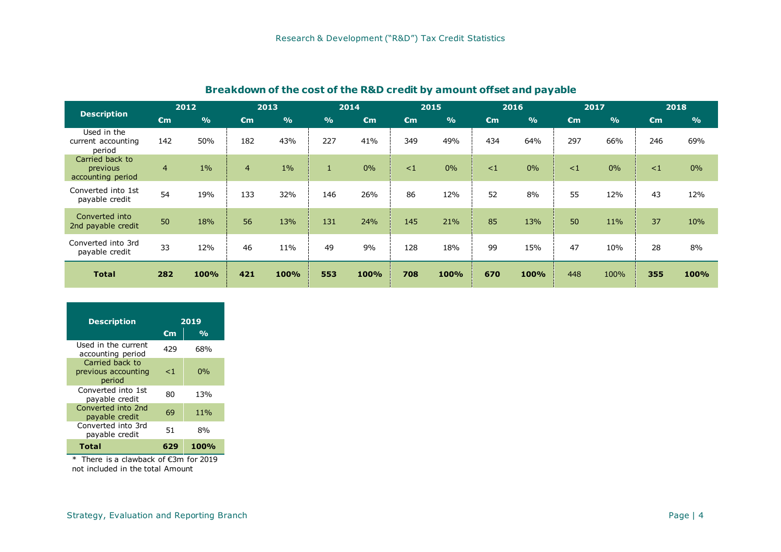## **Breakdown of the cost of the R&D credit by amount offset and payable**

|                                                  | 2012           |               | 2013           |               | 2014          |              |              | 2015          |              | 2016          |              | 2017          | 2018         |               |
|--------------------------------------------------|----------------|---------------|----------------|---------------|---------------|--------------|--------------|---------------|--------------|---------------|--------------|---------------|--------------|---------------|
| <b>Description</b>                               | $\epsilon$ m   | $\frac{9}{6}$ | $\epsilon$ m   | $\frac{9}{6}$ | $\frac{6}{6}$ | $\epsilon$ m | $\epsilon$ m | $\frac{9}{6}$ | $\epsilon$ m | $\frac{O}{O}$ | $\epsilon$ m | $\frac{O}{O}$ | $\epsilon$ m | $\frac{6}{6}$ |
| Used in the<br>current accounting<br>period      | 142            | 50%           | 182            | 43%           | 227           | 41%          | 349          | 49%           | 434          | 64%           | 297          | 66%           | 246          | 69%           |
| Carried back to<br>previous<br>accounting period | $\overline{4}$ | $1\%$         | $\overline{4}$ | $1\%$         | $\mathbf{1}$  | $0\%$        | $\leq$ 1     | 0%            | $\lt 1$      | 0%            | $\leq$ 1     | $0\%$         | $\leq$ 1     | 0%            |
| Converted into 1st<br>payable credit             | 54             | 19%           | 133            | 32%           | 146           | 26%          | 86           | 12%           | 52           | 8%            | 55           | 12%           | 43           | 12%           |
| Converted into<br>2nd payable credit             | 50             | 18%           | 56             | 13%           | 131           | 24%          | 145          | 21%           | 85           | 13%           | 50           | 11%           | 37           | 10%           |
| Converted into 3rd<br>payable credit             | 33             | 12%           | 46             | 11%           | 49            | 9%           | 128          | 18%           | 99           | 15%           | 47           | 10%           | 28           | 8%            |
| <b>Total</b>                                     | 282            | 100%          | 421            | 100%          | 553           | 100%         | 708          | 100%          | 670          | 100%          | 448          | 100%          | 355          | 100%          |

| <b>Description</b>                                     | 2019  |                |  |  |  |  |
|--------------------------------------------------------|-------|----------------|--|--|--|--|
|                                                        | €m    | $\mathbf{O}_0$ |  |  |  |  |
| Used in the current<br>accounting period               | 429   | 68%            |  |  |  |  |
| Carried back to<br>previous accounting<br>period       | $<$ 1 | $0\%$          |  |  |  |  |
| Converted into 1st<br>payable credit                   | 80    | 13%            |  |  |  |  |
| Converted into 2nd<br>payable credit                   | 69    | 11%            |  |  |  |  |
| Converted into 3rd<br>payable credit                   | 51    | 8%             |  |  |  |  |
| Total                                                  | 629   | 100%           |  |  |  |  |
| There is a sloughest of $C2$ of $6a$ $2010$<br>$\star$ |       |                |  |  |  |  |

\* There is a clawback of €3m for 2019 not included in the total Amount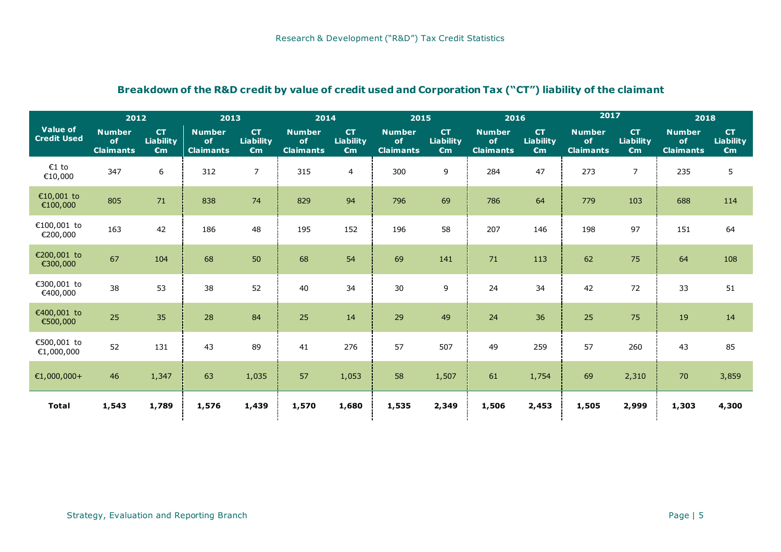#### **Breakdown of the R&D credit by value of credit used and Corporation Tax ("CT") liability of the claimant**

|                                       | 2012<br>2013                            |                                        |                                         | 2014                                   |                                         | 2015                                          |                                         | 2016                                   |                                         | 2017                                          | 2018                                    |                                        |                                         |                                               |
|---------------------------------------|-----------------------------------------|----------------------------------------|-----------------------------------------|----------------------------------------|-----------------------------------------|-----------------------------------------------|-----------------------------------------|----------------------------------------|-----------------------------------------|-----------------------------------------------|-----------------------------------------|----------------------------------------|-----------------------------------------|-----------------------------------------------|
| <b>Value of</b><br><b>Credit Used</b> | <b>Number</b><br>of<br><b>Claimants</b> | <b>CT</b><br>Liability<br>$\epsilon$ m | <b>Number</b><br>of<br><b>Claimants</b> | <b>CT</b><br>Liability<br>$\epsilon$ m | <b>Number</b><br>of<br><b>Claimants</b> | <b>CT</b><br><b>Liability</b><br>$\epsilon$ m | <b>Number</b><br>of<br><b>Claimants</b> | <b>CT</b><br>Liability<br>$\epsilon$ m | <b>Number</b><br>of<br><b>Claimants</b> | <b>CT</b><br><b>Liability</b><br>$\epsilon$ m | <b>Number</b><br>of<br><b>Claimants</b> | <b>CT</b><br>Liability<br>$\epsilon$ m | <b>Number</b><br>of<br><b>Claimants</b> | <b>CT</b><br><b>Liability</b><br>$\epsilon$ m |
| $E1$ to<br>€10,000                    | 347                                     | 6                                      | 312                                     | $\overline{7}$                         | 315                                     | 4                                             | 300                                     | 9                                      | 284                                     | 47                                            | 273                                     | $\overline{7}$                         | 235                                     | 5                                             |
| €10,001 to<br>€100,000                | 805                                     | 71                                     | 838                                     | 74                                     | 829                                     | 94                                            | 796                                     | 69                                     | 786                                     | 64                                            | 779                                     | 103                                    | 688                                     | 114                                           |
| €100,001 to<br>€200,000               | 163                                     | 42                                     | 186                                     | 48                                     | 195                                     | 152                                           | 196                                     | 58                                     | 207                                     | 146                                           | 198                                     | 97                                     | 151                                     | 64                                            |
| €200,001 to<br>€300,000               | 67                                      | 104                                    | 68                                      | 50                                     | 68                                      | 54                                            | 69                                      | 141                                    | 71                                      | 113                                           | 62                                      | 75                                     | 64                                      | 108                                           |
| €300,001 to<br>€400,000               | 38                                      | 53                                     | 38                                      | 52                                     | 40                                      | 34                                            | 30                                      | 9                                      | 24                                      | 34                                            | 42                                      | 72                                     | 33                                      | 51                                            |
| €400,001 to<br>€500,000               | 25                                      | 35                                     | 28                                      | 84                                     | 25                                      | 14                                            | 29                                      | 49                                     | 24                                      | 36                                            | 25                                      | 75                                     | 19                                      | 14                                            |
| €500,001 to<br>€1,000,000             | 52                                      | 131                                    | 43                                      | 89                                     | 41                                      | 276                                           | 57                                      | 507                                    | 49                                      | 259                                           | 57                                      | 260                                    | 43                                      | 85                                            |
| €1,000,000+                           | 46                                      | 1,347                                  | 63                                      | 1,035                                  | 57                                      | 1,053                                         | 58                                      | 1,507                                  | 61                                      | 1,754                                         | 69                                      | 2,310                                  | 70                                      | 3,859                                         |
| <b>Total</b>                          | 1,543                                   | 1,789                                  | 1,576                                   | 1,439                                  | 1,570                                   | 1,680                                         | 1,535                                   | 2,349                                  | 1,506                                   | 2,453                                         | 1,505                                   | 2,999                                  | 1,303                                   | 4,300                                         |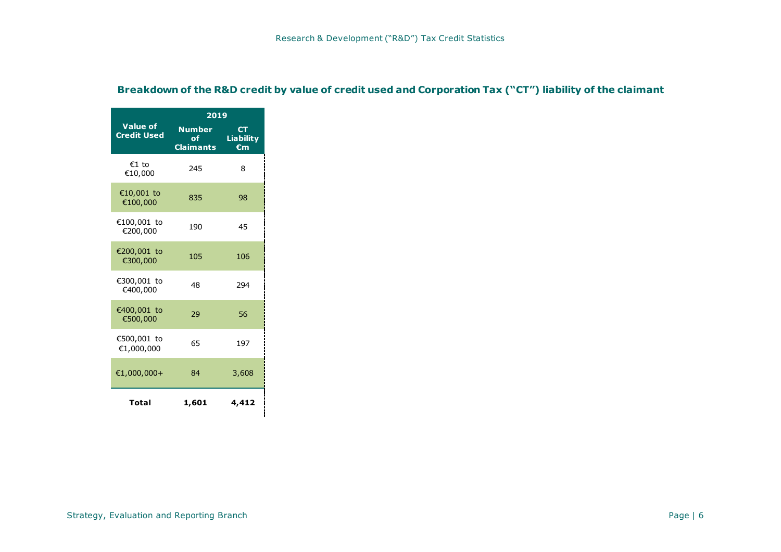|                                       | 2019                                     |                                               |
|---------------------------------------|------------------------------------------|-----------------------------------------------|
| <b>Value of</b><br><b>Credit Used</b> | <b>Number</b><br>of.<br><b>Claimants</b> | <b>CT</b><br><b>Liability</b><br>$\epsilon$ m |
| €1 to<br>€10,000                      | 245                                      | 8                                             |
| €10,001 to<br>€100,000                | 835                                      | 98                                            |
| €100,001 to<br>€200,000               | 190                                      | 45                                            |
| €200,001 to<br>€300,000               | 105                                      | 106                                           |
| €300,001 to<br>€400,000               | 48                                       | 294                                           |
| €400,001 to<br>€500,000               | 29                                       | 56                                            |
| €500,001 to<br>€1,000,000             | 65                                       | 197                                           |
| €1,000,000+                           | 84                                       | 3,608                                         |
| Total                                 | 1,601                                    | 4,412                                         |

#### **Breakdown of the R&D credit by value of credit used and Corporation Tax ("CT") liability of the claimant**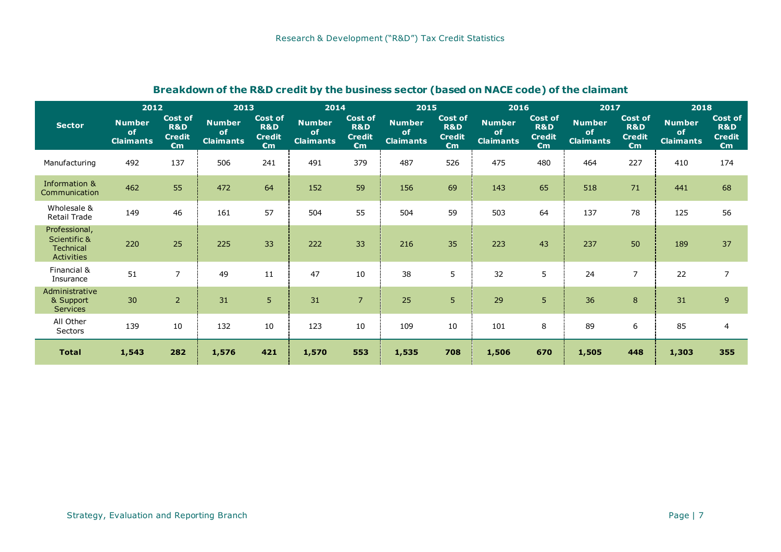|                                                                 | 2012                                    |                                                        | 2013                                    |                                                                   |                                         | 2014                                                              |                                         | 2015                                                              | 2016                                    |                                                        | 2017                                    |                                                                   | 2018                                           |                                                                   |
|-----------------------------------------------------------------|-----------------------------------------|--------------------------------------------------------|-----------------------------------------|-------------------------------------------------------------------|-----------------------------------------|-------------------------------------------------------------------|-----------------------------------------|-------------------------------------------------------------------|-----------------------------------------|--------------------------------------------------------|-----------------------------------------|-------------------------------------------------------------------|------------------------------------------------|-------------------------------------------------------------------|
| <b>Sector</b>                                                   | <b>Number</b><br>of<br><b>Claimants</b> | <b>Cost of</b><br>R&D<br><b>Credit</b><br>$\epsilon$ m | <b>Number</b><br>of<br><b>Claimants</b> | <b>Cost of</b><br><b>R&amp;D</b><br><b>Credit</b><br>$\epsilon$ m | <b>Number</b><br>of<br><b>Claimants</b> | <b>Cost of</b><br><b>R&amp;D</b><br><b>Credit</b><br>$\epsilon$ m | <b>Number</b><br>of<br><b>Claimants</b> | <b>Cost of</b><br><b>R&amp;D</b><br><b>Credit</b><br>$\epsilon$ m | <b>Number</b><br>of<br><b>Claimants</b> | <b>Cost of</b><br>R&D<br><b>Credit</b><br>$\epsilon$ m | <b>Number</b><br>of<br><b>Claimants</b> | <b>Cost of</b><br><b>R&amp;D</b><br><b>Credit</b><br>$\epsilon$ m | <b>Number</b><br><b>of</b><br><b>Claimants</b> | <b>Cost of</b><br><b>R&amp;D</b><br><b>Credit</b><br>$\epsilon$ m |
| Manufacturing                                                   | 492                                     | 137                                                    | 506                                     | 241                                                               | 491                                     | 379                                                               | 487                                     | 526                                                               | 475                                     | 480                                                    | 464                                     | 227                                                               | 410                                            | 174                                                               |
| Information &<br>Communication                                  | 462                                     | 55                                                     | 472                                     | 64                                                                | 152                                     | 59                                                                | 156                                     | 69                                                                | 143                                     | 65                                                     | 518                                     | 71                                                                | 441                                            | 68                                                                |
| Wholesale &<br>Retail Trade                                     | 149                                     | 46                                                     | 161                                     | 57                                                                | 504                                     | 55                                                                | 504                                     | 59                                                                | 503                                     | 64                                                     | 137                                     | 78                                                                | 125                                            | 56                                                                |
| Professional,<br>Scientific &<br>Technical<br><b>Activities</b> | 220                                     | 25                                                     | 225                                     | 33                                                                | 222                                     | 33                                                                | 216                                     | 35                                                                | 223                                     | 43                                                     | 237                                     | 50                                                                | 189                                            | 37                                                                |
| Financial &<br>Insurance                                        | 51                                      | $\overline{7}$                                         | 49                                      | 11                                                                | 47                                      | 10                                                                | 38                                      | 5                                                                 | 32                                      | 5                                                      | 24                                      | 7                                                                 | 22                                             | $\overline{7}$                                                    |
| Administrative<br>& Support<br><b>Services</b>                  | 30                                      | $\overline{2}$                                         | 31                                      | 5                                                                 | 31                                      | $\overline{7}$                                                    | 25                                      | 5 <sup>1</sup>                                                    | 29                                      | 5                                                      | 36                                      | 8                                                                 | 31                                             | 9                                                                 |
| All Other<br>Sectors                                            | 139                                     | 10                                                     | 132                                     | 10                                                                | 123                                     | 10                                                                | 109                                     | 10                                                                | 101                                     | 8                                                      | 89                                      | 6                                                                 | 85                                             | $\overline{4}$                                                    |
| <b>Total</b>                                                    | 1,543                                   | 282                                                    | 1,576                                   | 421                                                               | 1,570                                   | 553                                                               | 1,535                                   | 708                                                               | 1,506                                   | 670                                                    | 1,505                                   | 448                                                               | 1,303                                          | 355                                                               |

# **Breakdown of the R&D credit by the business sector (based on NACE code) of the claimant**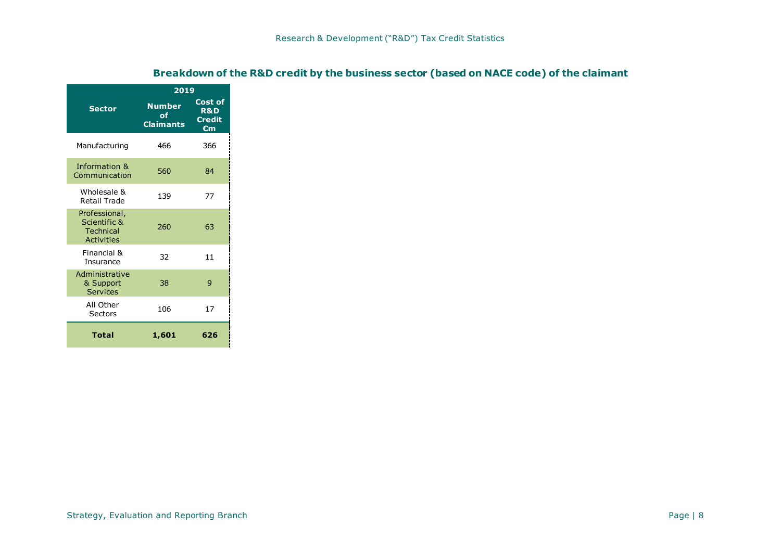|                                                                        | 2019                                    |                                                            |
|------------------------------------------------------------------------|-----------------------------------------|------------------------------------------------------------|
| <b>Sector</b>                                                          | <b>Number</b><br>0f<br><b>Claimants</b> | Cost of<br><b>R&amp;D</b><br><b>Credit</b><br>$\epsilon$ m |
| Manufacturing                                                          | 466                                     | 366                                                        |
| Information &<br>Communication                                         | 560                                     | 84                                                         |
| Wholesale &<br><b>Retail Trade</b>                                     | 139                                     | 77                                                         |
| Professional,<br>Scientific &<br><b>Technical</b><br><b>Activities</b> | 260                                     | 63                                                         |
| Financial &<br>Insurance                                               | 32                                      | 11                                                         |
| Administrative<br>& Support<br><b>Services</b>                         | 38                                      | 9                                                          |
| All Other<br>Sectors                                                   | 106                                     | 17                                                         |
| Total                                                                  | 1,601                                   | 626                                                        |

## **Breakdown of the R&D credit by the business sector (based on NACE code) of the claimant**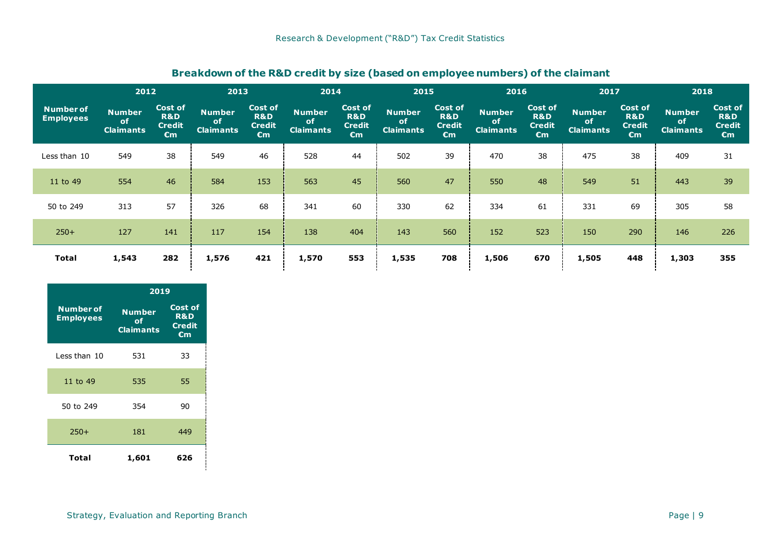| 2012                                 |                                         |                                                            | 2013                                    |                                                            |                                         | 2014                                                       |                                         | 2015                                                       | 2016                                    |                                                            | 2017                                           |                                                            | 2018                                           |                                                            |
|--------------------------------------|-----------------------------------------|------------------------------------------------------------|-----------------------------------------|------------------------------------------------------------|-----------------------------------------|------------------------------------------------------------|-----------------------------------------|------------------------------------------------------------|-----------------------------------------|------------------------------------------------------------|------------------------------------------------|------------------------------------------------------------|------------------------------------------------|------------------------------------------------------------|
| <b>Number of</b><br><b>Employees</b> | Number<br><b>of</b><br><b>Claimants</b> | Cost of<br><b>R&amp;D</b><br><b>Credit</b><br>$\epsilon$ m | <b>Number</b><br>of<br><b>Claimants</b> | Cost of<br><b>R&amp;D</b><br><b>Credit</b><br>$\epsilon$ m | <b>Number</b><br>of<br><b>Claimants</b> | Cost of<br><b>R&amp;D</b><br><b>Credit</b><br>$\epsilon$ m | <b>Number</b><br>of<br><b>Claimants</b> | Cost of<br><b>R&amp;D</b><br><b>Credit</b><br>$\epsilon$ m | <b>Number</b><br>of<br><b>Claimants</b> | Cost of<br><b>R&amp;D</b><br><b>Credit</b><br>$\epsilon$ m | <b>Number</b><br><b>of</b><br><b>Claimants</b> | Cost of<br><b>R&amp;D</b><br><b>Credit</b><br>$\epsilon$ m | <b>Number</b><br><b>of</b><br><b>Claimants</b> | Cost of<br><b>R&amp;D</b><br><b>Credit</b><br>$\epsilon$ m |
| Less than 10                         | 549                                     | 38                                                         | 549                                     | 46                                                         | 528                                     | 44                                                         | 502                                     | 39                                                         | 470                                     | 38                                                         | 475                                            | 38                                                         | 409                                            | 31                                                         |
| 11 to 49                             | 554                                     | 46                                                         | 584                                     | 153                                                        | 563                                     | 45                                                         | 560                                     | 47                                                         | 550                                     | 48                                                         | 549                                            | 51                                                         | 443                                            | 39                                                         |
| 50 to 249                            | 313                                     | 57                                                         | 326                                     | 68                                                         | 341                                     | 60                                                         | 330                                     | 62                                                         | 334                                     | 61                                                         | 331                                            | 69                                                         | 305                                            | 58                                                         |
| $250+$                               | 127                                     | 141                                                        | 117                                     | 154                                                        | 138                                     | 404                                                        | 143                                     | 560                                                        | 152                                     | 523                                                        | 150                                            | 290                                                        | 146                                            | 226                                                        |
| <b>Total</b>                         | 1,543                                   | 282                                                        | 1,576                                   | 421                                                        | 1,570                                   | 553                                                        | 1,535                                   | 708                                                        | 1,506                                   | 670                                                        | 1,505                                          | 448                                                        | 1,303                                          | 355                                                        |

## **Breakdown of the R&D credit by size (based on employee numbers) of the claimant**

|                                      | 2019                                    |                                                         |
|--------------------------------------|-----------------------------------------|---------------------------------------------------------|
| <b>Number of</b><br><b>Employees</b> | <b>Number</b><br>оf<br><b>Claimants</b> | <b>Cost of</b><br><b>R&amp;D</b><br><b>Credit</b><br>€m |
| Less than 10                         | 531                                     | 33                                                      |
| 11 to 49                             | 535                                     | 55                                                      |
| 50 to 249                            | 354                                     | 90                                                      |
| $250+$                               | 181                                     | 449                                                     |
| Total                                | 1,601                                   | 626                                                     |